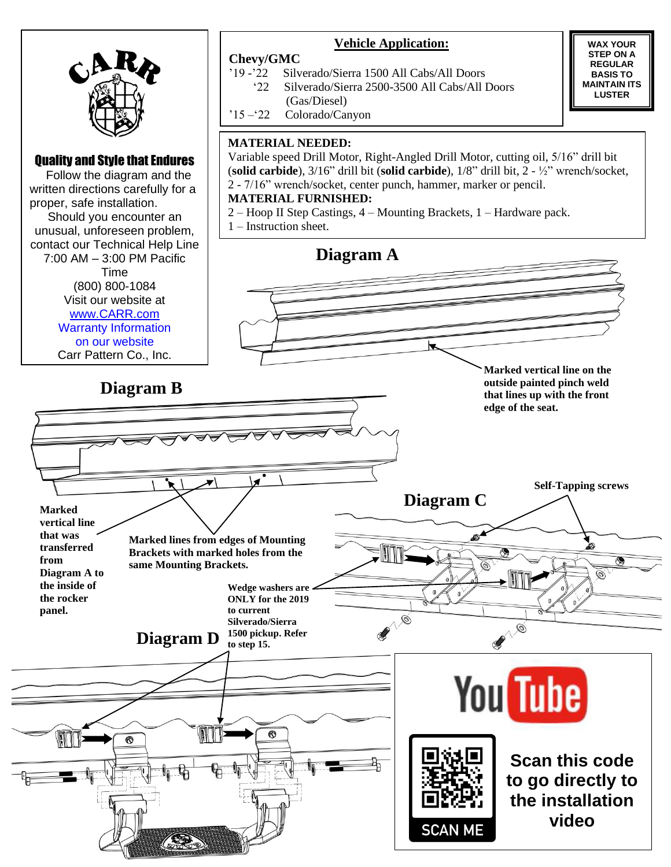